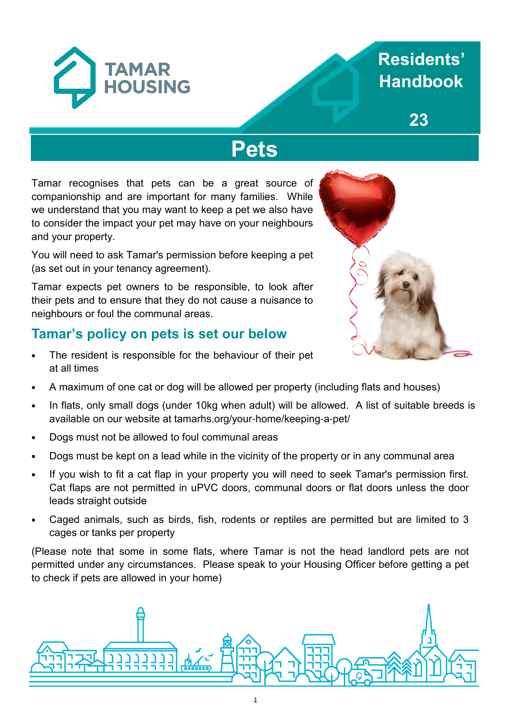

# **13 Handbook Residents'**

**23**

# **Pets**

Tamar recognises that pets can be a great source of companionship and are important for many families. While we understand that you may want to keep a pet we also have to consider the impact your pet may have on your neighbours and your property.

You will need to ask Tamar's permission before keeping a pet (as set out in your tenancy agreement).

Tamar expects pet owners to be responsible, to look after their pets and to ensure that they do not cause a nuisance to neighbours or foul the communal areas.

## **Tamar's policy on pets is set our below**

The resident is responsible for the behaviour of their pet at all times



- A maximum of one cat or dog will be allowed per property (including flats and houses)
- In flats, only small dogs (under 10kg when adult) will be allowed. A list of suitable breeds is available on our website at tamarhs.org/your-home/keeping-a-pet/
- Dogs must not be allowed to foul communal areas
- Dogs must be kept on a lead while in the vicinity of the property or in any communal area
- If you wish to fit a cat flap in your property you will need to seek Tamar's permission first. Cat flaps are not permitted in uPVC doors, communal doors or flat doors unless the door leads straight outside
- Caged animals, such as birds, fish, rodents or reptiles are permitted but are limited to 3 cages or tanks per property

(Please note that some in some flats, where Tamar is not the head landlord pets are not permitted under any circumstances. Please speak to your Housing Officer before getting a pet to check if pets are allowed in your home)